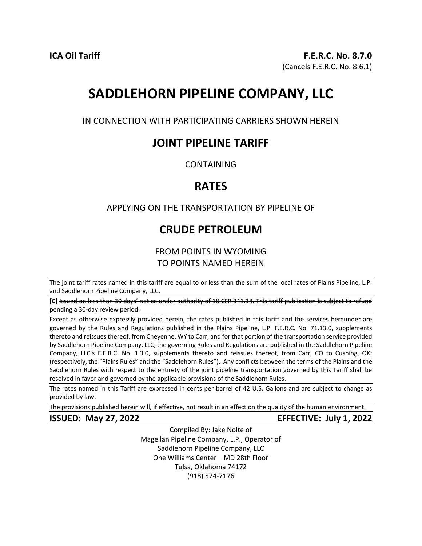# **SADDLEHORN PIPELINE COMPANY, LLC**

IN CONNECTION WITH PARTICIPATING CARRIERS SHOWN HEREIN

## **JOINT PIPELINE TARIFF**

CONTAINING

## **RATES**

## APPLYING ON THE TRANSPORTATION BY PIPELINE OF

## **CRUDE PETROLEUM**

## FROM POINTS IN WYOMING TO POINTS NAMED HEREIN

The joint tariff rates named in this tariff are equal to or less than the sum of the local rates of Plains Pipeline, L.P. and Saddlehorn Pipeline Company, LLC.

**[C]** Issued on less than 30 days' notice under authority of 18 CFR 341.14. This tariff publication is subject to refund pending a 30-day review period.

Except as otherwise expressly provided herein, the rates published in this tariff and the services hereunder are governed by the Rules and Regulations published in the Plains Pipeline, L.P. F.E.R.C. No. 71.13.0, supplements thereto and reissues thereof, from Cheyenne, WY to Carr; and for that portion of the transportation service provided by Saddlehorn Pipeline Company, LLC, the governing Rules and Regulations are published in the Saddlehorn Pipeline Company, LLC's F.E.R.C. No. 1.3.0, supplements thereto and reissues thereof, from Carr, CO to Cushing, OK; (respectively, the "Plains Rules" and the "Saddlehorn Rules"). Any conflicts between the terms of the Plains and the Saddlehorn Rules with respect to the entirety of the joint pipeline transportation governed by this Tariff shall be resolved in favor and governed by the applicable provisions of the Saddlehorn Rules.

The rates named in this Tariff are expressed in cents per barrel of 42 U.S. Gallons and are subject to change as provided by law.

The provisions published herein will, if effective, not result in an effect on the quality of the human environment.

**ISSUED: May 27, 2022 EFFECTIVE: July 1, 2022** 

Compiled By: Jake Nolte of Magellan Pipeline Company, L.P., Operator of Saddlehorn Pipeline Company, LLC One Williams Center – MD 28th Floor Tulsa, Oklahoma 74172 (918) 574-7176